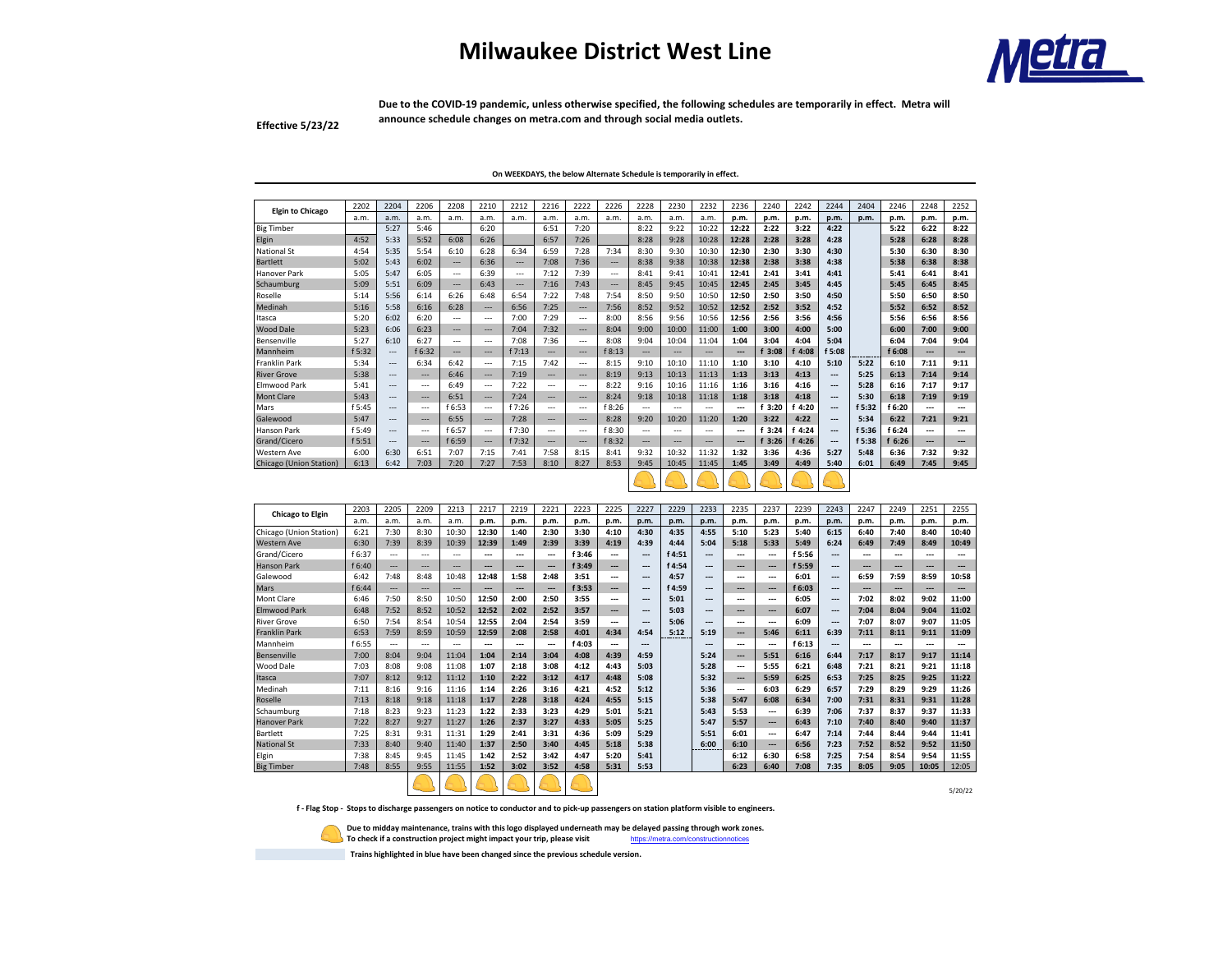## **Milwaukee District West Line**



**Due to the COVID-19 pandemic, unless otherwise specified, the following schedules are temporarily in effect. Metra will announce schedule changes on metra.com and through social media outlets.** 

**Effective 5/23/22**

**On WEEKDAYS, the below Alternate Schedule is temporarily in effect.** 

| <b>Elgin to Chicago</b>        | 2202   | 2204  | 2206           | 2208                     | 2210                     | 2212           | 2216                     | 2222                     | 2226                     | 2228           | 2230           | 2232                     | 2236  | 2240   | 2242   | 2244 | 2404   | 2246   | 2248                     | 2252 |
|--------------------------------|--------|-------|----------------|--------------------------|--------------------------|----------------|--------------------------|--------------------------|--------------------------|----------------|----------------|--------------------------|-------|--------|--------|------|--------|--------|--------------------------|------|
|                                | a.m.   | a.m.  | a.m.           | a.m.                     | a.m.                     | a.m.           | a.m.                     | a.m.                     | a.m.                     | a.m.           | a.m.           | a.m.                     | p.m.  | p.m.   | p.m.   | p.m. | p.m.   | p.m.   | p.m.                     | p.m. |
| <b>Big Timber</b>              |        | 5:27  | 5:46           |                          | 6:20                     |                | 6:51                     | 7:20                     |                          | 8:22           | 9:22           | 10:22                    | 12:22 | 2:22   | 3:22   | 4:22 |        | 5:22   | 6:22                     | 8:22 |
| Elgin                          | 4:52   | 5:33  | 5:52           | 6:08                     | 6:26                     |                | 6:57                     | 7:26                     |                          | 8:28           | 9:28           | 10:28                    | 12:28 | 2:28   | 3:28   | 4:28 |        | 5:28   | 6:28                     | 8:28 |
| National St                    | 4:54   | 5:35  | 5:54           | 6:10                     | 6:28                     | 6:34           | 6:59                     | 7:28                     | 7:34                     | 8:30           | 9:30           | 10:30                    | 12:30 | 2:30   | 3:30   | 4:30 |        | 5:30   | 6:30                     | 8:30 |
| Bartlett                       | 5:02   | 5:43  | 6:02           | $\overline{a}$           | 6:36                     | $-$            | 7:08                     | 7:36                     | $\overline{\phantom{a}}$ | 8:38           | 9:38           | 10:38                    | 12:38 | 2:38   | 3:38   | 4:38 |        | 5:38   | 6:38                     | 8:38 |
| Hanover Park                   | 5:05   | 5:47  | 6:05           | $---$                    | 6:39                     | $---$          | 7:12                     | 7:39                     | $\overline{\phantom{a}}$ | 8:41           | 9:41           | 10:41                    | 12:41 | 2:41   | 3:41   | 4:41 |        | 5:41   | 6:41                     | 8:41 |
| Schaumburg                     | 5:09   | 5:51  | 6:09           | $\overline{a}$           | 6:43                     | $\overline{a}$ | 7:16                     | 7:43                     | $\overline{\phantom{a}}$ | 8:45           | 9:45           | 10:45                    | 12:45 | 2:45   | 3:45   | 4:45 |        | 5:45   | 6:45                     | 8:45 |
| Roselle                        | 5:14   | 5:56  | 6:14           | 6:26                     | 6:48                     | 6:54           | 7:22                     | 7:48                     | 7:54                     | 8:50           | 9:50           | 10:50                    | 12:50 | 2:50   | 3:50   | 4:50 |        | 5:50   | 6:50                     | 8:50 |
| Medinah                        | 5:16   | 5:58  | 6:16           | 6:28                     | ---                      | 6:56           | 7:25                     | $\cdots$                 | 7:56                     | 8:52           | 9:52           | 10:52                    | 12:52 | 2:52   | 3:52   | 4:52 |        | 5:52   | 6:52                     | 8:52 |
| Itasca                         | 5:20   | 6:02  | 6:20           | $---$                    | $---$                    | 7:00           | 7:29                     | $---$                    | 8:00                     | 8:56           | 9:56           | 10:56                    | 12:56 | 2:56   | 3:56   | 4:56 |        | 5:56   | 6:56                     | 8:56 |
| <b>Wood Dale</b>               | 5:23   | 6:06  | 6:23           | $\overline{\phantom{a}}$ | $\sim$                   | 7:04           | 7:32                     | $\overline{\phantom{a}}$ | 8:04                     | 9:00           | 10:00          | 11:00                    | 1:00  | 3:00   | 4:00   | 5:00 |        | 6:00   | 7:00                     | 9:00 |
| Bensenville                    | 5:27   | 6:10  | 6:27           | $---$                    | $---$                    | 7:08           | 7:36                     | $---$                    | 8:08                     | 9:04           | 10:04          | 11:04                    | 1:04  | 3:04   | 4:04   | 5:04 |        | 6:04   | 7:04                     | 9:04 |
| Mannheim                       | f 5:32 | $---$ | f 6:32         | $\overline{\phantom{a}}$ | $\sim$                   | f 7:13         | $\overline{a}$           | $\overline{\phantom{a}}$ | f 8:13                   | $-$            | $\overline{a}$ | $\overline{a}$           | ---   | f 3:08 | 4:08   | 5:08 |        | f 6:08 | ---                      | ---  |
| Franklin Park                  | 5:34   | $---$ | 6:34           | 6:42                     | $---$                    | 7:15           | 7:42                     | $---$                    | 8:15                     | 9:10           | 10:10          | 11:10                    | 1:10  | 3:10   | 4:10   | 5:10 | 5:22   | 6:10   | 7:11                     | 9:11 |
| <b>River Grove</b>             | 5:38   | $---$ | $\sim$         | 6:46                     | $\overline{\phantom{a}}$ | 7:19           | $-$                      | $\overline{\phantom{a}}$ | 8:19                     | 9:13           | 10:13          | 11:13                    | 1:13  | 3:13   | 4:13   | ---  | 5:25   | 6:13   | 7:14                     | 9:14 |
| Elmwood Park                   | 5:41   | $---$ | $---$          | 6:49                     | $---$                    | 7:22           | $\cdots$                 | $---$                    | 8:22                     | 9:16           | 10:16          | 11:16                    | 1:16  | 3:16   | 4:16   | ---  | 5:28   | 6:16   | 7:17                     | 9:17 |
| <b>Mont Clare</b>              | 5:43   | $---$ | $\overline{a}$ | 6:51                     | $\overline{\phantom{a}}$ | 7:24           | $-$                      | $\overline{a}$           | 8:24                     | 9:18           | 10:18          | 11:18                    | 1:18  | 3:18   | 4:18   | ---  | 5:30   | 6:18   | 7:19                     | 9:19 |
| Mars                           | f 5:45 | $---$ | $---$          | f 6:53                   | $---$                    | f 7:26         | $\cdots$                 | $---$                    | f 8:26                   | $---$          | $---$          | $---$                    | ---   | f 3:20 | 4:20   | ---  | f 5:32 | f 6:20 | ---                      | ---  |
| Galewood                       | 5:47   | $---$ | $\sim$         | 6:55                     | $\overline{\phantom{a}}$ | 7:28           | $-$                      | $\overline{a}$           | 8:28                     | 9:20           | 10:20          | 11:20                    | 1:20  | 3:22   | 4:22   | ---  | 5:34   | 6:22   | 7:21                     | 9:21 |
| Hanson Park                    | f 5:49 | $---$ | $---$          | f 6:57                   | $---$                    | f 7:30         | $\cdots$                 | $---$                    | f 8:30                   | $---$          | ---            | $---$                    | ---   | f 3:24 | 4:24   | ---  | f 5:36 | f 6:24 | ---                      | ---  |
| Grand/Cicero                   | f 5:51 | $---$ | $\sim$         | f 6:59                   | $\overline{\phantom{a}}$ | f 7:32         | $\overline{\phantom{a}}$ | $\overline{\phantom{a}}$ | f 8:32                   | $\overline{a}$ | $\overline{a}$ | $\overline{\phantom{a}}$ | ---   | f 3:26 | f 4:26 | ---  | f 5:38 | 6:26   | $\overline{\phantom{a}}$ | ---  |
| Western Ave                    | 6:00   | 6:30  | 6:51           | 7:07                     | 7:15                     | 7:41           | 7:58                     | 8:15                     | 8:41                     | 9:32           | 10:32          | 11:32                    | 1:32  | 3:36   | 4:36   | 5:27 | 5:48   | 6:36   | 7:32                     | 9:32 |
| <b>Chicago (Union Station)</b> | 6:13   | 6:42  | 7:03           | 7:20                     | 7:27                     | 7:53           | 8:10                     | 8:27                     | 8:53                     | 9:45           | 10:45          | 11:45                    | 1:45  | 3:49   | 4:49   | 5:40 | 6:01   | 6:49   | 7:45                     | 9:45 |
|                                |        |       |                |                          |                          |                |                          |                          |                          |                |                |                          |       |        |        |      |        |        |                          |      |

| <b>Chicago to Elgin</b> | 2203   | 2205           | 2209                     | 2213                     | 2217  | 2219 | 2221 | 2223   | 2225                     | 2227                     | 2229   | 2233 | 2235                     | 2237                     | 2239   | 2243                     | 2247                     | 2249                     | 2251  | 2255    |
|-------------------------|--------|----------------|--------------------------|--------------------------|-------|------|------|--------|--------------------------|--------------------------|--------|------|--------------------------|--------------------------|--------|--------------------------|--------------------------|--------------------------|-------|---------|
|                         | a.m.   | a.m.           | a.m.                     | a.m.                     | p.m.  | p.m. | p.m. | p.m.   | p.m.                     | p.m.                     | p.m.   | p.m. | p.m.                     | p.m.                     | p.m.   | p.m.                     | p.m.                     | p.m.                     | p.m.  | p.m.    |
| Chicago (Union Station) | 6:21   | 7:30           | 8:30                     | 10:30                    | 12:30 | 1:40 | 2:30 | 3:30   | 4:10                     | 4:30                     | 4:35   | 4:55 | 5:10                     | 5:23                     | 5:40   | 6:15                     | 6:40                     | 7:40                     | 8:40  | 10:40   |
| <b>Western Ave</b>      | 6:30   | 7:39           | 8:39                     | 10:39                    | 12:39 | 1:49 | 2:39 | 3:39   | 4:19                     | 4:39                     | 4:44   | 5:04 | 5:18                     | 5:33                     | 5:49   | 6:24                     | 6:49                     | 7:49                     | 8:49  | 10:49   |
| Grand/Cicero            | f 6:37 | $---$          | $---$                    | $---$                    | ---   | ---  | ---  | f 3:46 | ---                      | $---$                    | f 4:51 | ---  | ---                      | ---                      | f 5:56 | $---$                    | ---                      | ---                      | ---   | ---     |
| <b>Hanson Park</b>      | f 6:40 | $-$            | $\sim$                   | $\sim$                   | ---   | ---  | ---  | f 3:49 | $\overline{\phantom{a}}$ | $\overline{\phantom{a}}$ | f 4:54 | ---  | $\overline{\phantom{a}}$ | $\overline{\phantom{a}}$ | f 5:59 | $---$                    | $\overline{\phantom{a}}$ | $\overline{\phantom{a}}$ | ---   | ---     |
| Galewood                | 6:42   | 7:48           | 8:48                     | 10:48                    | 12:48 | 1:58 | 2:48 | 3:51   | ---                      | ---                      | 4:57   | ---  | ---                      | ---                      | 6:01   | $---$                    | 6:59                     | 7:59                     | 8:59  | 10:58   |
| Mars                    | f 6:44 | $\overline{a}$ | $\overline{\phantom{a}}$ | $\overline{\phantom{a}}$ | ---   | ---  | ---  | f 3:53 | $\overline{\phantom{a}}$ | $\overline{\phantom{a}}$ | f 4:59 | ---  | ---                      | $\overline{\phantom{a}}$ | f 6:03 | $---$                    | ---                      | $\overline{\phantom{a}}$ | ---   | ---     |
| <b>Mont Clare</b>       | 6:46   | 7:50           | 8:50                     | 10:50                    | 12:50 | 2:00 | 2:50 | 3:55   | ---                      | ---                      | 5:01   | ---  | ---                      | ---                      | 6:05   | ---                      | 7:02                     | 8:02                     | 9:02  | 11:00   |
| <b>Elmwood Park</b>     | 6:48   | 7:52           | 8:52                     | 10:52                    | 12:52 | 2:02 | 2:52 | 3:57   | ---                      | ---                      | 5:03   | ---  | ---                      | ---                      | 6:07   | $---$                    | 7:04                     | 8:04                     | 9:04  | 11:02   |
| <b>River Grove</b>      | 6:50   | 7:54           | 8:54                     | 10:54                    | 12:55 | 2:04 | 2:54 | 3:59   | ---                      | $---$                    | 5:06   | ---  | $\overline{\phantom{a}}$ | $\overline{\phantom{a}}$ | 6:09   | $\overline{\phantom{a}}$ | 7:07                     | 8:07                     | 9:07  | 11:05   |
| <b>Franklin Park</b>    | 6:53   | 7:59           | 8:59                     | 10:59                    | 12:59 | 2:08 | 2:58 | 4:01   | 4:34                     | 4:54                     | 5:12   | 5:19 | ---                      | 5:46                     | 6:11   | 6:39                     | 7:11                     | 8:11                     | 9:11  | 11:09   |
| Mannheim                | f 6:55 | $---$          | $---$                    | $---$                    | ---   | ---  | ---  | f 4:03 | ---                      | $\overline{\phantom{a}}$ |        | ---  | $\overline{\phantom{a}}$ | ---                      | f 6:13 | ---                      | ---                      | ---                      | ---   | ---     |
| Bensenville             | 7:00   | 8:04           | 9:04                     | 11:04                    | 1:04  | 2:14 | 3:04 | 4:08   | 4:39                     | 4:59                     |        | 5:24 | ---                      | 5:51                     | 6:16   | 6:44                     | 7:17                     | 8:17                     | 9:17  | 11:14   |
| Wood Dale               | 7:03   | 8:08           | 9:08                     | 11:08                    | 1:07  | 2:18 | 3:08 | 4:12   | 4:43                     | 5:03                     |        | 5:28 | $\overline{\phantom{a}}$ | 5:55                     | 6:21   | 6:48                     | 7:21                     | 8:21                     | 9:21  | 11:18   |
| Itasca                  | 7:07   | 8:12           | 9:12                     | 11:12                    | 1:10  | 2:22 | 3:12 | 4:17   | 4:48                     | 5:08                     |        | 5:32 | ---                      | 5:59                     | 6:25   | 6:53                     | 7:25                     | 8:25                     | 9:25  | 11:22   |
| Medinah                 | 7:11   | 8:16           | 9:16                     | 11:16                    | 1:14  | 2:26 | 3:16 | 4:21   | 4:52                     | 5:12                     |        | 5:36 | ---                      | 6:03                     | 6:29   | 6:57                     | 7:29                     | 8:29                     | 9:29  | 11:26   |
| Roselle                 | 7:13   | 8:18           | 9:18                     | 11:18                    | 1:17  | 2:28 | 3:18 | 4:24   | 4:55                     | 5:15                     |        | 5:38 | 5:47                     | 6:08                     | 6:34   | 7:00                     | 7:31                     | 8:31                     | 9:31  | 11:28   |
| Schaumburg              | 7:18   | 8:23           | 9:23                     | 11:23                    | 1:22  | 2:33 | 3:23 | 4:29   | 5:01                     | 5:21                     |        | 5:43 | 5:53                     | $\overline{\phantom{a}}$ | 6:39   | 7:06                     | 7:37                     | 8:37                     | 9:37  | 11:33   |
| <b>Hanover Park</b>     | 7:22   | 8:27           | 9:27                     | 11:27                    | 1:26  | 2:37 | 3:27 | 4:33   | 5:05                     | 5:25                     |        | 5:47 | 5:57                     | ---                      | 6:43   | 7:10                     | 7:40                     | 8:40                     | 9:40  | 11:37   |
| <b>Bartlett</b>         | 7:25   | 8:31           | 9:31                     | 11:31                    | 1:29  | 2:41 | 3:31 | 4:36   | 5:09                     | 5:29                     |        | 5:51 | 6:01                     | ---                      | 6:47   | 7:14                     | 7:44                     | 8:44                     | 9:44  | 11:41   |
| <b>National St</b>      | 7:33   | 8:40           | 9:40                     | 11:40                    | 1:37  | 2:50 | 3:40 | 4:45   | 5:18                     | 5:38                     |        | 6:00 | 6:10                     | $\qquad \qquad \cdots$   | 6:56   | 7:23                     | 7:52                     | 8:52                     | 9:52  | 11:50   |
| Elgin                   | 7:38   | 8:45           | 9:45                     | 11:45                    | 1:42  | 2:52 | 3:42 | 4:47   | 5:20                     | 5:41                     |        |      | 6:12                     | 6:30                     | 6:58   | 7:25                     | 7:54                     | 8:54                     | 9:54  | 11:55   |
| <b>Big Timber</b>       | 7:48   | 8:55           | 9:55                     | 11:55                    | 1:52  | 3:02 | 3:52 | 4:58   | 5:31                     | 5:53                     |        |      | 6:23                     | 6:40                     | 7:08   | 7:35                     | 8:05                     | 9:05                     | 10:05 | 12:05   |
|                         |        |                |                          |                          |       |      |      |        |                          |                          |        |      |                          |                          |        |                          |                          |                          |       |         |
|                         |        |                |                          |                          |       |      |      |        |                          |                          |        |      |                          |                          |        |                          |                          |                          |       | 5/20/22 |

**f - Flag Stop - Stops to discharge passengers on notice to conductor and to pick-up passengers on station platform visible to engineers.**

**Due to midday maintenance, trains with this logo displayed underneath may be delayed passing through work zones.** 

**To check if a construction project might impact your trip, please visit** <https://metra.com/constructionnotices>

 **Trains highlighted in blue have been changed since the previous schedule version.**

5/20/22